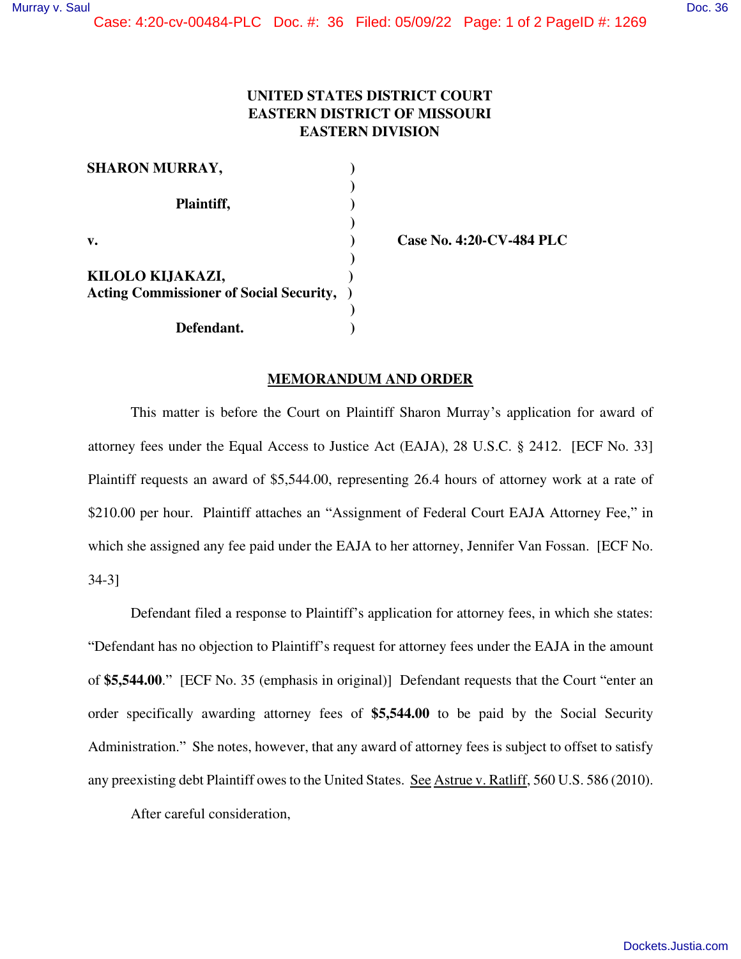Case: 4:20-cv-00484-PLC Doc. #: 36 Filed: 05/09/22 Page: 1 of 2 PageID #: 1269

## **UNITED STATES DISTRICT COURT EASTERN DISTRICT OF MISSOURI EASTERN DIVISION**

| <b>SHARON MURRAY,</b>                          |  |
|------------------------------------------------|--|
|                                                |  |
| Plaintiff,                                     |  |
|                                                |  |
| $\mathbf{v}$ .                                 |  |
|                                                |  |
| KILOLO KIJAKAZI,                               |  |
| <b>Acting Commissioner of Social Security,</b> |  |
|                                                |  |
| Defendant.                                     |  |

**v. ) Case No. 4:20-CV-484 PLC** 

## **MEMORANDUM AND ORDER**

 This matter is before the Court on Plaintiff Sharon Murray's application for award of attorney fees under the Equal Access to Justice Act (EAJA), 28 U.S.C. § 2412. [ECF No. 33] Plaintiff requests an award of \$5,544.00, representing 26.4 hours of attorney work at a rate of \$210.00 per hour. Plaintiff attaches an "Assignment of Federal Court EAJA Attorney Fee," in which she assigned any fee paid under the EAJA to her attorney, Jennifer Van Fossan. [ECF No. 34-3]

 Defendant filed a response to Plaintiff's application for attorney fees, in which she states: "Defendant has no objection to Plaintiff's request for attorney fees under the EAJA in the amount of **\$5,544.00**." [ECF No. 35 (emphasis in original)] Defendant requests that the Court "enter an order specifically awarding attorney fees of **\$5,544.00** to be paid by the Social Security Administration." She notes, however, that any award of attorney fees is subject to offset to satisfy any preexisting debt Plaintiff owes to the United States. See Astrue v. Ratliff, 560 U.S. 586 (2010).

After careful consideration,